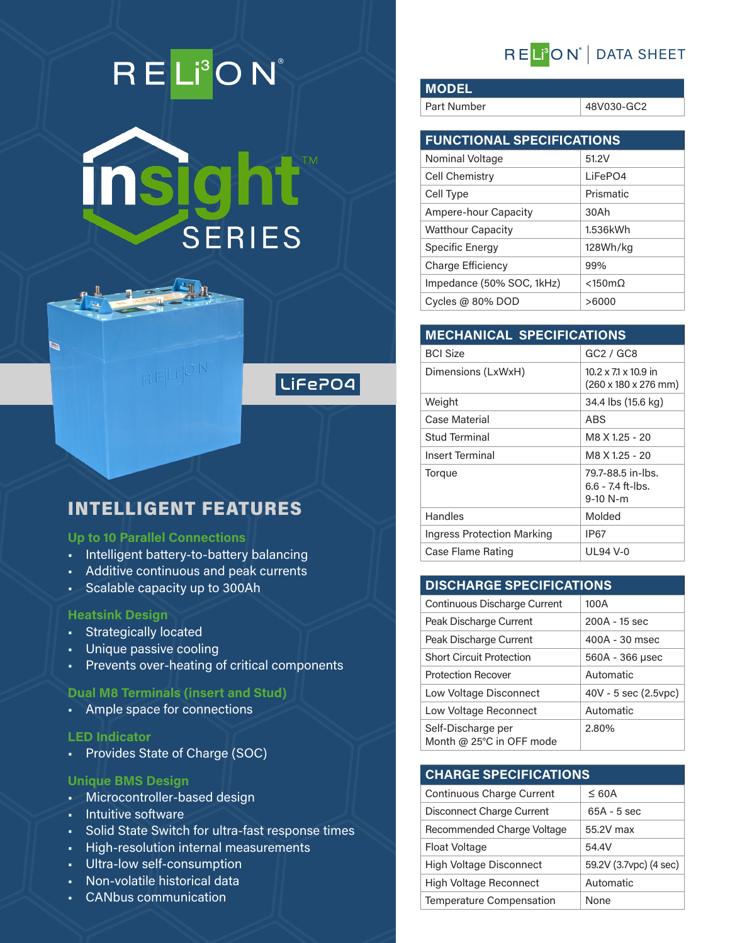# RELI<sup>3</sup>ON®

insight" **SERIES** 



# INTELLIGENT FEATURES

 $BETPON$ 

## **Up to 10 Parallel Connections**

- Intelligent battery-to-battery balancing
- Additive continuous and peak currents
- Scalable capacity up to 300Ah

#### **Heatsink Design**

Ø

- Strategically located
- Unique passive cooling
- Prevents over-heating of critical components

## **Dual M8 Terminals (insert and Stud)**

• Ample space for connections

#### **LED Indicator**

• Provides State of Charge (SOC)

## **Unique BMS Design**

- Microcontroller-based design
- Intuitive software
- Solid State Switch for ultra-fast response times
- High-resolution internal measurements
- Ultra-low self-consumption
- Non-volatile historical data
- CANbus communication

# REL<sup>®</sup>ON<sup>®</sup> DATA SHEET

**MODEL**

Part Number 48V030-GC2

| <b>FUNCTIONAL SPECIFICATIONS</b> |                   |  |
|----------------------------------|-------------------|--|
| Nominal Voltage                  | 51.2V             |  |
| Cell Chemistry                   | LiFePO4           |  |
| Cell Type                        | Prismatic         |  |
| <b>Ampere-hour Capacity</b>      | 30Ah              |  |
| <b>Watthour Capacity</b>         | 1.536kWh          |  |
| Specific Energy                  | 128Wh/kg          |  |
| Charge Efficiency                | 99%               |  |
| Impedance (50% SOC, 1kHz)        | $<$ 150m $\Omega$ |  |
| Cycles @ $80\%$ DOD              | >6000             |  |

| <b>MECHANICAL SPECIFICATIONS</b>  |                                                                             |  |  |
|-----------------------------------|-----------------------------------------------------------------------------|--|--|
| <b>BCI Size</b>                   | GC2 / GC8                                                                   |  |  |
| Dimensions (LxWxH)                | $10.2 \times 71 \times 10.9$ in<br>$(260 \times 180 \times 276 \text{ mm})$ |  |  |
| Weight                            | 34.4 lbs (15.6 kg)                                                          |  |  |
| Case Material                     | ABS                                                                         |  |  |
| Stud Terminal                     | M8 X 1.25 - 20                                                              |  |  |
| <b>Insert Terminal</b>            | M8 X 1.25 - 20                                                              |  |  |
| Torque                            | 79.7-88.5 in-lbs.<br>$6.6 - 7.4$ ft-lbs.<br>$9-10$ N-m                      |  |  |
| Handles                           | Molded                                                                      |  |  |
| <b>Ingress Protection Marking</b> | IP67                                                                        |  |  |
| Case Flame Rating                 | UI 94 V-0                                                                   |  |  |

# **DISCHARGE SPECIFICATIONS**

| Continuous Discharge Current                   | 100A                 |
|------------------------------------------------|----------------------|
| Peak Discharge Current                         | 200A - 15 sec        |
| Peak Discharge Current                         | 400A - 30 msec       |
| <b>Short Circuit Protection</b>                | 560A - 366 µsec      |
| <b>Protection Recover</b>                      | Automatic            |
| Low Voltage Disconnect                         | 40V - 5 sec (2.5vpc) |
| Low Voltage Reconnect                          | Automatic            |
| Self-Discharge per<br>Month @ 25°C in OFF mode | 2.80%                |

## **CHARGE SPECIFICATIONS**

| <b>Continuous Charge Current</b> | $\leq 60A$             |
|----------------------------------|------------------------|
| Disconnect Charge Current        | $65A - 5$ sec          |
| Recommended Charge Voltage       | 55.2V max              |
| <b>Float Voltage</b>             | 54.4V                  |
| <b>High Voltage Disconnect</b>   | 59.2V (3.7vpc) (4 sec) |
| <b>High Voltage Reconnect</b>    | Automatic              |
| Temperature Compensation         | None                   |